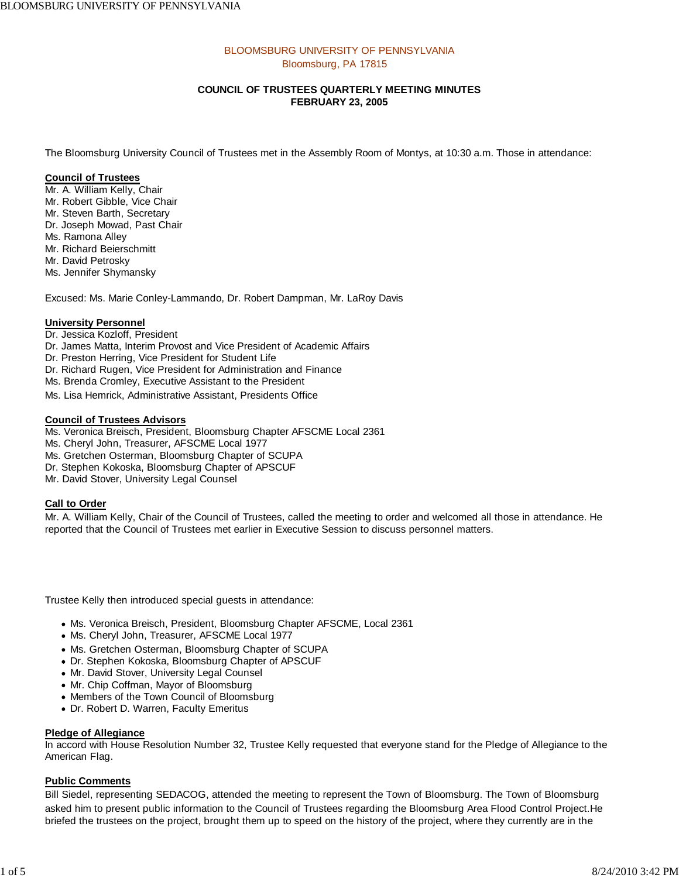## BLOOMSBURG UNIVERSITY OF PENNSYLVANIA Bloomsburg, PA 17815

## **COUNCIL OF TRUSTEES QUARTERLY MEETING MINUTES FEBRUARY 23, 2005**

The Bloomsburg University Council of Trustees met in the Assembly Room of Montys, at 10:30 a.m. Those in attendance:

### **Council of Trustees**

Mr. A. William Kelly, Chair Mr. Robert Gibble, Vice Chair Mr. Steven Barth, Secretary Dr. Joseph Mowad, Past Chair Ms. Ramona Alley Mr. Richard Beierschmitt Mr. David Petrosky Ms. Jennifer Shymansky

Excused: Ms. Marie Conley-Lammando, Dr. Robert Dampman, Mr. LaRoy Davis

### **University Personnel**

- Dr. Jessica Kozloff, President
- Dr. James Matta, Interim Provost and Vice President of Academic Affairs
- Dr. Preston Herring, Vice President for Student Life
- Dr. Richard Rugen, Vice President for Administration and Finance
- Ms. Brenda Cromley, Executive Assistant to the President
- Ms. Lisa Hemrick, Administrative Assistant, Presidents Office

### **Council of Trustees Advisors**

- Ms. Veronica Breisch, President, Bloomsburg Chapter AFSCME Local 2361
- Ms. Cheryl John, Treasurer, AFSCME Local 1977
- Ms. Gretchen Osterman, Bloomsburg Chapter of SCUPA
- Dr. Stephen Kokoska, Bloomsburg Chapter of APSCUF
- Mr. David Stover, University Legal Counsel

## **Call to Order**

Mr. A. William Kelly, Chair of the Council of Trustees, called the meeting to order and welcomed all those in attendance. He reported that the Council of Trustees met earlier in Executive Session to discuss personnel matters.

Trustee Kelly then introduced special guests in attendance:

- Ms. Veronica Breisch, President, Bloomsburg Chapter AFSCME, Local 2361
- Ms. Cheryl John, Treasurer, AFSCME Local 1977
- Ms. Gretchen Osterman, Bloomsburg Chapter of SCUPA
- Dr. Stephen Kokoska, Bloomsburg Chapter of APSCUF
- Mr. David Stover, University Legal Counsel
- Mr. Chip Coffman, Mayor of Bloomsburg
- Members of the Town Council of Bloomsburg
- Dr. Robert D. Warren, Faculty Emeritus

### **Pledge of Allegiance**

In accord with House Resolution Number 32, Trustee Kelly requested that everyone stand for the Pledge of Allegiance to the American Flag.

### **Public Comments**

Bill Siedel, representing SEDACOG, attended the meeting to represent the Town of Bloomsburg. The Town of Bloomsburg asked him to present public information to the Council of Trustees regarding the Bloomsburg Area Flood Control Project.He briefed the trustees on the project, brought them up to speed on the history of the project, where they currently are in the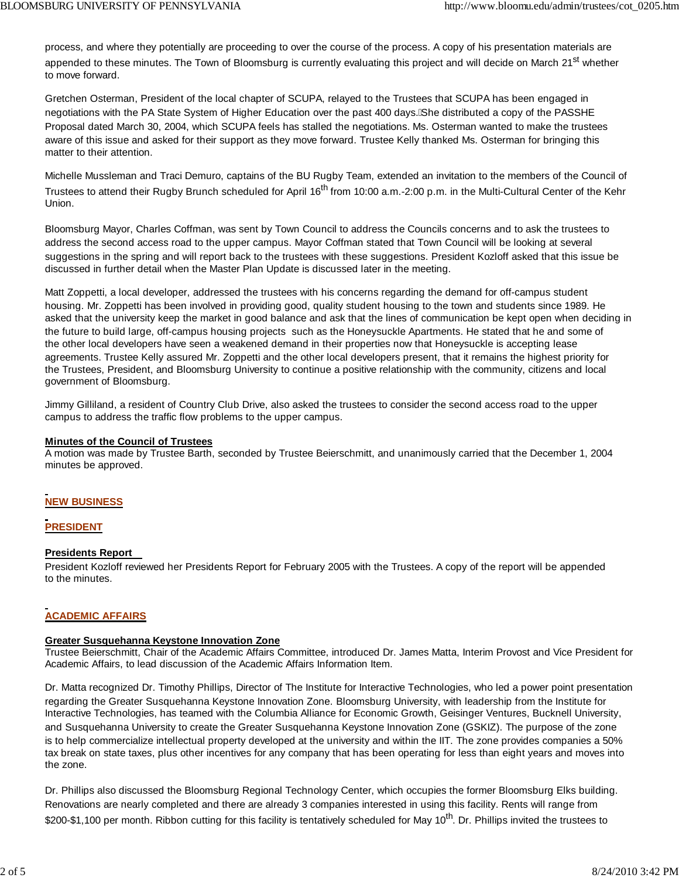process, and where they potentially are proceeding to over the course of the process. A copy of his presentation materials are appended to these minutes. The Town of Bloomsburg is currently evaluating this project and will decide on March 21<sup>st</sup> whether to move forward.

Gretchen Osterman, President of the local chapter of SCUPA, relayed to the Trustees that SCUPA has been engaged in negotiations with the PA State System of Higher Education over the past 400 days. She distributed a copy of the PASSHE Proposal dated March 30, 2004, which SCUPA feels has stalled the negotiations. Ms. Osterman wanted to make the trustees aware of this issue and asked for their support as they move forward. Trustee Kelly thanked Ms. Osterman for bringing this matter to their attention.

Michelle Mussleman and Traci Demuro, captains of the BU Rugby Team, extended an invitation to the members of the Council of Trustees to attend their Rugby Brunch scheduled for April 16<sup>th</sup> from 10:00 a.m.-2:00 p.m. in the Multi-Cultural Center of the Kehr Union.

Bloomsburg Mayor, Charles Coffman, was sent by Town Council to address the Councils concerns and to ask the trustees to address the second access road to the upper campus. Mayor Coffman stated that Town Council will be looking at several suggestions in the spring and will report back to the trustees with these suggestions. President Kozloff asked that this issue be discussed in further detail when the Master Plan Update is discussed later in the meeting.

Matt Zoppetti, a local developer, addressed the trustees with his concerns regarding the demand for off-campus student housing. Mr. Zoppetti has been involved in providing good, quality student housing to the town and students since 1989. He asked that the university keep the market in good balance and ask that the lines of communication be kept open when deciding in the future to build large, off-campus housing projects such as the Honeysuckle Apartments. He stated that he and some of the other local developers have seen a weakened demand in their properties now that Honeysuckle is accepting lease agreements. Trustee Kelly assured Mr. Zoppetti and the other local developers present, that it remains the highest priority for the Trustees, President, and Bloomsburg University to continue a positive relationship with the community, citizens and local government of Bloomsburg.

Jimmy Gilliland, a resident of Country Club Drive, also asked the trustees to consider the second access road to the upper campus to address the traffic flow problems to the upper campus.

### **Minutes of the Council of Trustees**

A motion was made by Trustee Barth, seconded by Trustee Beierschmitt, and unanimously carried that the December 1, 2004 minutes be approved.

## **NEW BUSINESS**

## **PRESIDENT**

## **Presidents Report**

President Kozloff reviewed her Presidents Report for February 2005 with the Trustees. A copy of the report will be appended to the minutes.

## **ACADEMIC AFFAIRS**

### **Greater Susquehanna Keystone Innovation Zone**

Trustee Beierschmitt, Chair of the Academic Affairs Committee, introduced Dr. James Matta, Interim Provost and Vice President for Academic Affairs, to lead discussion of the Academic Affairs Information Item.

Dr. Matta recognized Dr. Timothy Phillips, Director of The Institute for Interactive Technologies, who led a power point presentation regarding the Greater Susquehanna Keystone Innovation Zone. Bloomsburg University, with leadership from the Institute for Interactive Technologies, has teamed with the Columbia Alliance for Economic Growth, Geisinger Ventures, Bucknell University, and Susquehanna University to create the Greater Susquehanna Keystone Innovation Zone (GSKIZ). The purpose of the zone is to help commercialize intellectual property developed at the university and within the IIT. The zone provides companies a 50% tax break on state taxes, plus other incentives for any company that has been operating for less than eight years and moves into the zone.

Dr. Phillips also discussed the Bloomsburg Regional Technology Center, which occupies the former Bloomsburg Elks building. Renovations are nearly completed and there are already 3 companies interested in using this facility. Rents will range from \$200-\$1,100 per month. Ribbon cutting for this facility is tentatively scheduled for May 10<sup>th</sup>. Dr. Phillips invited the trustees to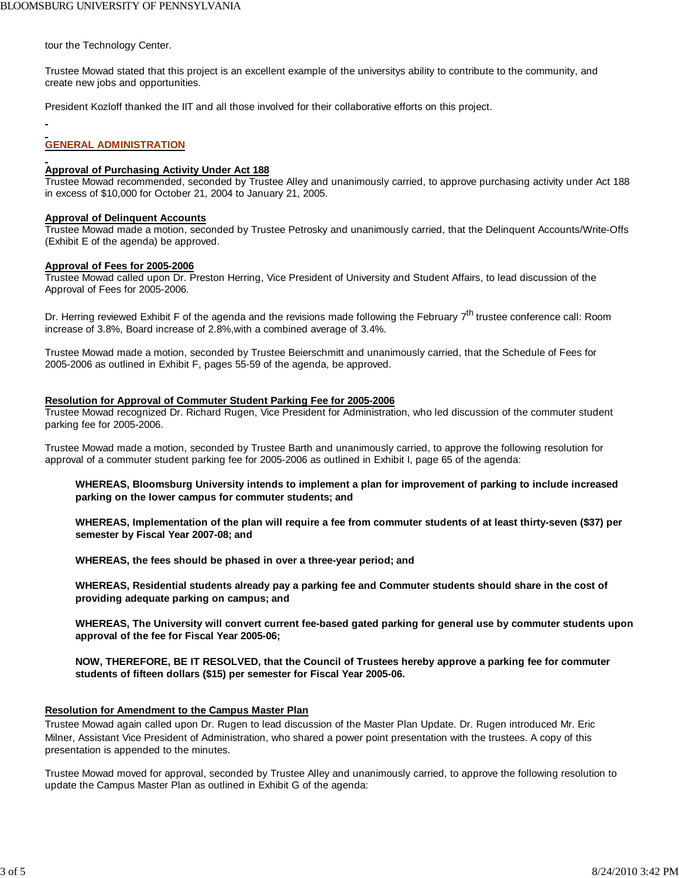tour the Technology Center.

Trustee Mowad stated that this project is an excellent example of the universitys ability to contribute to the community, and create new jobs and opportunities.

President Kozloff thanked the IIT and all those involved for their collaborative efforts on this project.

## **GENERAL ADMINISTRATION**

### **Approval of Purchasing Activity Under Act 188**

Trustee Mowad recommended, seconded by Trustee Alley and unanimously carried, to approve purchasing activity under Act 188 in excess of \$10,000 for October 21, 2004 to January 21, 2005.

### **Approval of Delinquent Accounts**

Trustee Mowad made a motion, seconded by Trustee Petrosky and unanimously carried, that the Delinquent Accounts/Write-Offs (Exhibit E of the agenda) be approved.

### **Approval of Fees for 2005-2006**

Trustee Mowad called upon Dr. Preston Herring, Vice President of University and Student Affairs, to lead discussion of the Approval of Fees for 2005-2006.

Dr. Herring reviewed Exhibit F of the agenda and the revisions made following the February 7<sup>th</sup> trustee conference call: Room increase of 3.8%, Board increase of 2.8%,with a combined average of 3.4%.

Trustee Mowad made a motion, seconded by Trustee Beierschmitt and unanimously carried, that the Schedule of Fees for 2005-2006 as outlined in Exhibit F, pages 55-59 of the agenda, be approved.

### **Resolution for Approval of Commuter Student Parking Fee for 2005-2006**

Trustee Mowad recognized Dr. Richard Rugen, Vice President for Administration, who led discussion of the commuter student parking fee for 2005-2006.

Trustee Mowad made a motion, seconded by Trustee Barth and unanimously carried, to approve the following resolution for approval of a commuter student parking fee for 2005-2006 as outlined in Exhibit I, page 65 of the agenda:

**WHEREAS, Bloomsburg University intends to implement a plan for improvement of parking to include increased parking on the lower campus for commuter students; and**

**WHEREAS, Implementation of the plan will require a fee from commuter students of at least thirty-seven (\$37) per semester by Fiscal Year 2007-08; and**

**WHEREAS, the fees should be phased in over a three-year period; and**

**WHEREAS, Residential students already pay a parking fee and Commuter students should share in the cost of providing adequate parking on campus; and**

**WHEREAS, The University will convert current fee-based gated parking for general use by commuter students upon approval of the fee for Fiscal Year 2005-06;**

**NOW, THEREFORE, BE IT RESOLVED, that the Council of Trustees hereby approve a parking fee for commuter students of fifteen dollars (\$15) per semester for Fiscal Year 2005-06.**

### **Resolution for Amendment to the Campus Master Plan**

Trustee Mowad again called upon Dr. Rugen to lead discussion of the Master Plan Update. Dr. Rugen introduced Mr. Eric Milner, Assistant Vice President of Administration, who shared a power point presentation with the trustees. A copy of this presentation is appended to the minutes.

Trustee Mowad moved for approval, seconded by Trustee Alley and unanimously carried, to approve the following resolution to update the Campus Master Plan as outlined in Exhibit G of the agenda: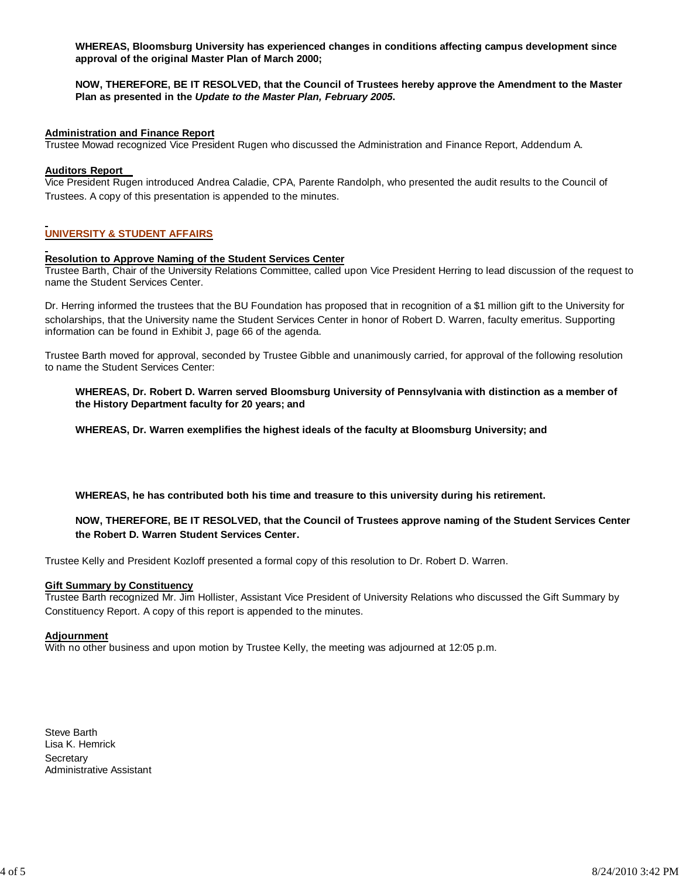**WHEREAS, Bloomsburg University has experienced changes in conditions affecting campus development since approval of the original Master Plan of March 2000;**

### **NOW, THEREFORE, BE IT RESOLVED, that the Council of Trustees hereby approve the Amendment to the Master Plan as presented in the** *Update to the Master Plan, February 2005***.**

### **Administration and Finance Report**

Trustee Mowad recognized Vice President Rugen who discussed the Administration and Finance Report, Addendum A.

### **Auditors Report**

Vice President Rugen introduced Andrea Caladie, CPA, Parente Randolph, who presented the audit results to the Council of Trustees. A copy of this presentation is appended to the minutes.

## **UNIVERSITY & STUDENT AFFAIRS**

### **Resolution to Approve Naming of the Student Services Center**

Trustee Barth, Chair of the University Relations Committee, called upon Vice President Herring to lead discussion of the request to name the Student Services Center.

Dr. Herring informed the trustees that the BU Foundation has proposed that in recognition of a \$1 million gift to the University for scholarships, that the University name the Student Services Center in honor of Robert D. Warren, faculty emeritus. Supporting information can be found in Exhibit J, page 66 of the agenda.

Trustee Barth moved for approval, seconded by Trustee Gibble and unanimously carried, for approval of the following resolution to name the Student Services Center:

**WHEREAS, Dr. Robert D. Warren served Bloomsburg University of Pennsylvania with distinction as a member of the History Department faculty for 20 years; and**

**WHEREAS, Dr. Warren exemplifies the highest ideals of the faculty at Bloomsburg University; and**

**WHEREAS, he has contributed both his time and treasure to this university during his retirement.**

### **NOW, THEREFORE, BE IT RESOLVED, that the Council of Trustees approve naming of the Student Services Center the Robert D. Warren Student Services Center.**

Trustee Kelly and President Kozloff presented a formal copy of this resolution to Dr. Robert D. Warren.

### **Gift Summary by Constituency**

Trustee Barth recognized Mr. Jim Hollister, Assistant Vice President of University Relations who discussed the Gift Summary by Constituency Report. A copy of this report is appended to the minutes.

### **Adjournment**

With no other business and upon motion by Trustee Kelly, the meeting was adjourned at 12:05 p.m.

Steve Barth Lisa K. Hemrick **Secretary** Administrative Assistant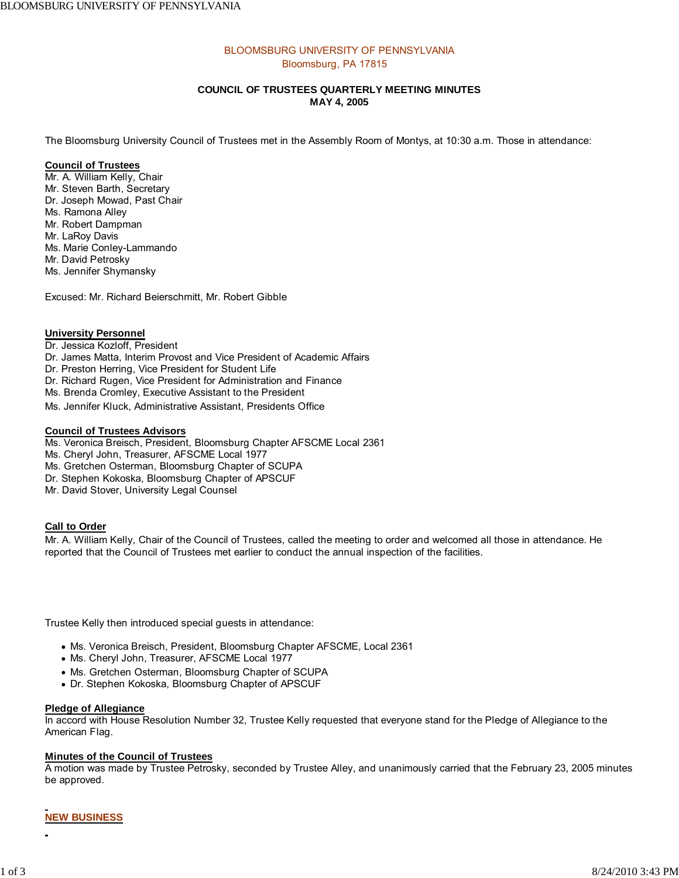## BLOOMSBURG UNIVERSITY OF PENNSYLVANIA Bloomsburg, PA 17815

## **COUNCIL OF TRUSTEES QUARTERLY MEETING MINUTES MAY 4, 2005**

The Bloomsburg University Council of Trustees met in the Assembly Room of Montys, at 10:30 a.m. Those in attendance:

### **Council of Trustees**

Mr. A. William Kelly, Chair Mr. Steven Barth, Secretary Dr. Joseph Mowad, Past Chair Ms. Ramona Alley Mr. Robert Dampman Mr. LaRoy Davis Ms. Marie Conley-Lammando Mr. David Petrosky Ms. Jennifer Shymansky

Excused: Mr. Richard Beierschmitt, Mr. Robert Gibble

### **University Personnel**

- Dr. Jessica Kozloff, President
- Dr. James Matta, Interim Provost and Vice President of Academic Affairs
- Dr. Preston Herring, Vice President for Student Life
- Dr. Richard Rugen, Vice President for Administration and Finance
- Ms. Brenda Cromley, Executive Assistant to the President
- Ms. Jennifer Kluck, Administrative Assistant, Presidents Office

### **Council of Trustees Advisors**

- Ms. Veronica Breisch, President, Bloomsburg Chapter AFSCME Local 2361
- Ms. Cheryl John, Treasurer, AFSCME Local 1977
- Ms. Gretchen Osterman, Bloomsburg Chapter of SCUPA
- Dr. Stephen Kokoska, Bloomsburg Chapter of APSCUF
- Mr. David Stover, University Legal Counsel

### **Call to Order**

Mr. A. William Kelly, Chair of the Council of Trustees, called the meeting to order and welcomed all those in attendance. He reported that the Council of Trustees met earlier to conduct the annual inspection of the facilities.

Trustee Kelly then introduced special guests in attendance:

- Ms. Veronica Breisch, President, Bloomsburg Chapter AFSCME, Local 2361
- Ms. Cheryl John, Treasurer, AFSCME Local 1977
- Ms. Gretchen Osterman, Bloomsburg Chapter of SCUPA
- Dr. Stephen Kokoska, Bloomsburg Chapter of APSCUF

### **Pledge of Allegiance**

In accord with House Resolution Number 32, Trustee Kelly requested that everyone stand for the Pledge of Allegiance to the American Flag.

## **Minutes of the Council of Trustees**

A motion was made by Trustee Petrosky, seconded by Trustee Alley, and unanimously carried that the February 23, 2005 minutes be approved.

## **NEW BUSINESS**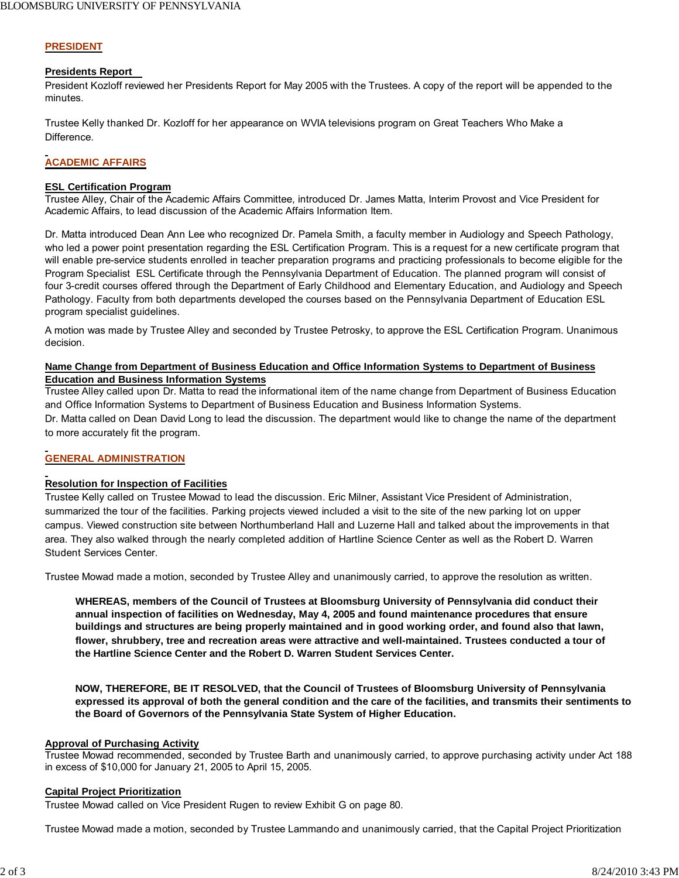## **PRESIDENT**

### **Presidents Report**

President Kozloff reviewed her Presidents Report for May 2005 with the Trustees. A copy of the report will be appended to the minutes.

Trustee Kelly thanked Dr. Kozloff for her appearance on WVIA televisions program on Great Teachers Who Make a Difference.

## **ACADEMIC AFFAIRS**

### **ESL Certification Program**

Trustee Alley, Chair of the Academic Affairs Committee, introduced Dr. James Matta, Interim Provost and Vice President for Academic Affairs, to lead discussion of the Academic Affairs Information Item.

Dr. Matta introduced Dean Ann Lee who recognized Dr. Pamela Smith, a faculty member in Audiology and Speech Pathology, who led a power point presentation regarding the ESL Certification Program. This is a request for a new certificate program that will enable pre-service students enrolled in teacher preparation programs and practicing professionals to become eligible for the Program Specialist ESL Certificate through the Pennsylvania Department of Education. The planned program will consist of four 3-credit courses offered through the Department of Early Childhood and Elementary Education, and Audiology and Speech Pathology. Faculty from both departments developed the courses based on the Pennsylvania Department of Education ESL program specialist guidelines.

A motion was made by Trustee Alley and seconded by Trustee Petrosky, to approve the ESL Certification Program. Unanimous decision.

## **Name Change from Department of Business Education and Office Information Systems to Department of Business Education and Business Information Systems**

Trustee Alley called upon Dr. Matta to read the informational item of the name change from Department of Business Education and Office Information Systems to Department of Business Education and Business Information Systems. Dr. Matta called on Dean David Long to lead the discussion. The department would like to change the name of the department to more accurately fit the program.

## **GENERAL ADMINISTRATION**

## **Resolution for Inspection of Facilities**

Trustee Kelly called on Trustee Mowad to lead the discussion. Eric Milner, Assistant Vice President of Administration, summarized the tour of the facilities. Parking projects viewed included a visit to the site of the new parking lot on upper campus. Viewed construction site between Northumberland Hall and Luzerne Hall and talked about the improvements in that area. They also walked through the nearly completed addition of Hartline Science Center as well as the Robert D. Warren Student Services Center.

Trustee Mowad made a motion, seconded by Trustee Alley and unanimously carried, to approve the resolution as written.

**WHEREAS, members of the Council of Trustees at Bloomsburg University of Pennsylvania did conduct their annual inspection of facilities on Wednesday, May 4, 2005 and found maintenance procedures that ensure buildings and structures are being properly maintained and in good working order, and found also that lawn, flower, shrubbery, tree and recreation areas were attractive and well-maintained. Trustees conducted a tour of the Hartline Science Center and the Robert D. Warren Student Services Center.**

**NOW, THEREFORE, BE IT RESOLVED, that the Council of Trustees of Bloomsburg University of Pennsylvania expressed its approval of both the general condition and the care of the facilities, and transmits their sentiments to the Board of Governors of the Pennsylvania State System of Higher Education.**

### **Approval of Purchasing Activity**

Trustee Mowad recommended, seconded by Trustee Barth and unanimously carried, to approve purchasing activity under Act 188 in excess of \$10,000 for January 21, 2005 to April 15, 2005.

## **Capital Project Prioritization**

Trustee Mowad called on Vice President Rugen to review Exhibit G on page 80.

Trustee Mowad made a motion, seconded by Trustee Lammando and unanimously carried, that the Capital Project Prioritization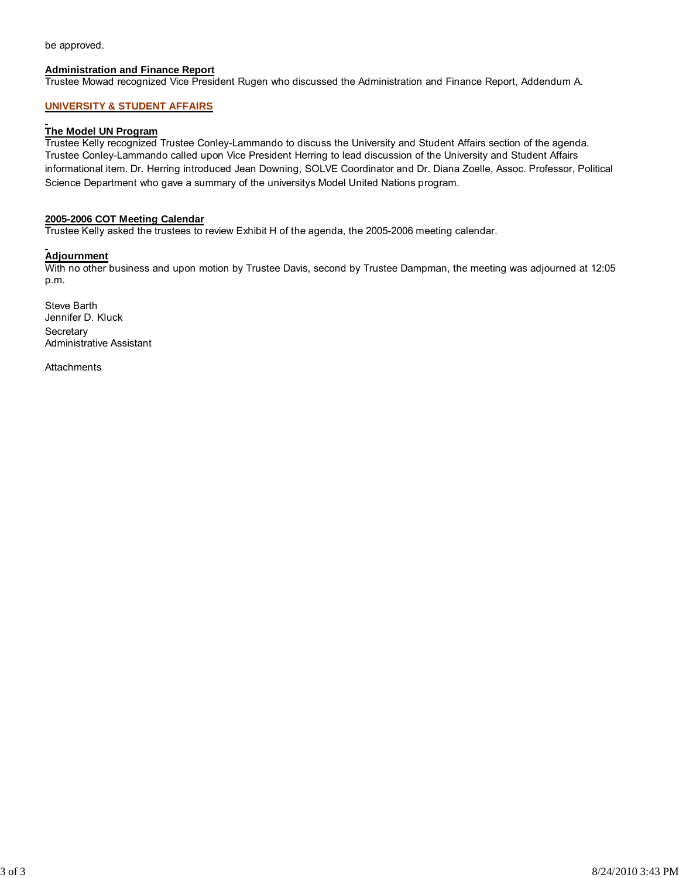be approved.

### **Administration and Finance Report**

Trustee Mowad recognized Vice President Rugen who discussed the Administration and Finance Report, Addendum A.

### **UNIVERSITY & STUDENT AFFAIRS**

### **The Model UN Program**

Trustee Kelly recognized Trustee Conley-Lammando to discuss the University and Student Affairs section of the agenda. Trustee Conley-Lammando called upon Vice President Herring to lead discussion of the University and Student Affairs informational item. Dr. Herring introduced Jean Downing, SOLVE Coordinator and Dr. Diana Zoelle, Assoc. Professor, Political Science Department who gave a summary of the universitys Model United Nations program.

### **2005-2006 COT Meeting Calendar**

Trustee Kelly asked the trustees to review Exhibit H of the agenda, the 2005-2006 meeting calendar.

### **Adjournment**

With no other business and upon motion by Trustee Davis, second by Trustee Dampman, the meeting was adjourned at 12:05 p.m.

Steve Barth Jennifer D. Kluck **Secretary** Administrative Assistant

**Attachments**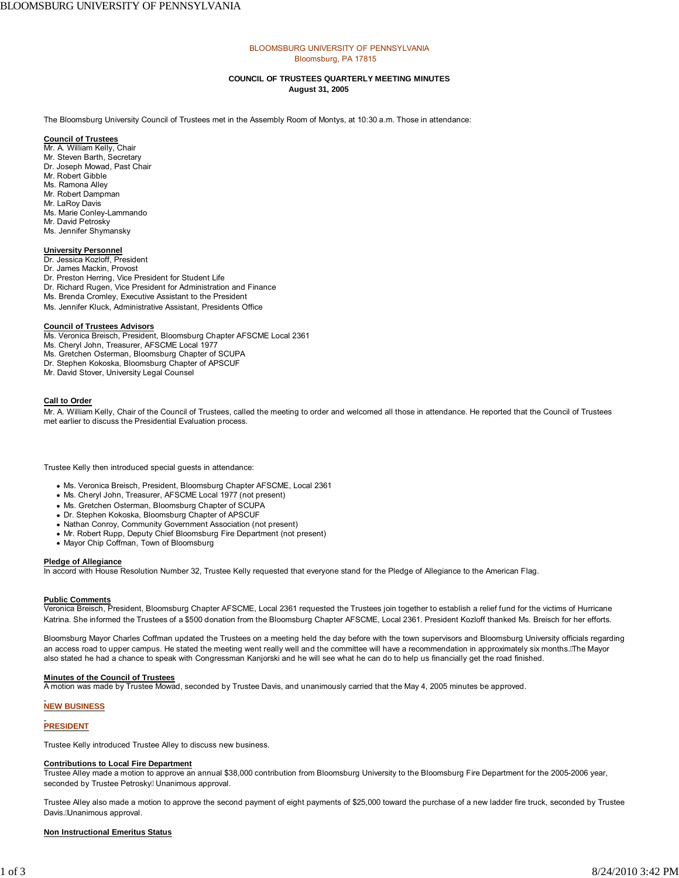#### BLOOMSBURG UNIVERSITY OF PENNSYLVANIA Bloomsburg, PA 17815

#### **COUNCIL OF TRUSTEES QUARTERLY MEETING MINUTES August 31, 2005**

The Bloomsburg University Council of Trustees met in the Assembly Room of Montys, at 10:30 a.m. Those in attendance:

#### **Council of Trustees**

- Mr. A. William Kelly, Chair Mr. Steven Barth, Secretary Dr. Joseph Mowad, Past Chair Mr. Robert Gibble
- 
- Ms. Ramona Alley Mr. Robert Dampman
- Mr. LaRoy Davis
- 
- Ms. Marie Conley-Lammando Mr. David Petrosky
- Ms. Jennifer Shymansky

### **University Personnel**

- Dr. Jessica Kozloff, President
- Dr. James Mackin, Provost
- Dr. Preston Herring, Vice President for Student Life
- Dr. Richard Rugen, Vice President for Administration and Finance
- Ms. Brenda Cromley, Executive Assistant to the President
- Ms. Jennifer Kluck, Administrative Assistant, Presidents Office

#### **Council of Trustees Advisors**

- Ms. Veronica Breisch, President, Bloomsburg Chapter AFSCME Local 2361
- Ms. Cheryl John, Treasurer, AFSCME Local 1977
- Ms. Gretchen Osterman, Bloomsburg Chapter of SCUPA
- Dr. Stephen Kokoska, Bloomsburg Chapter of APSCUF
- Mr. David Stover, University Legal Counsel

#### **Call to Order**

Mr. A. William Kelly, Chair of the Council of Trustees, called the meeting to order and welcomed all those in attendance. He reported that the Council of Trustees met earlier to discuss the Presidential Evaluation process.

Trustee Kelly then introduced special guests in attendance:

- Ms. Veronica Breisch, President, Bloomsburg Chapter AFSCME, Local 2361
- Ms. Cheryl John, Treasurer, AFSCME Local 1977 (not present)
- Ms. Gretchen Osterman, Bloomsburg Chapter of SCUPA
- Dr. Stephen Kokoska, Bloomsburg Chapter of APSCUF
- Nathan Conroy, Community Government Association (not present)
- Mr. Robert Rupp, Deputy Chief Bloomsburg Fire Department (not present)
- Mayor Chip Coffman, Town of Bloomsburg

#### **Pledge of Allegiance**

In accord with House Resolution Number 32, Trustee Kelly requested that everyone stand for the Pledge of Allegiance to the American Flag.

#### **Public Comments**

Veronica Breisch, President, Bloomsburg Chapter AFSCME, Local 2361 requested the Trustees join together to establish a relief fund for the victims of Hurricane Katrina. She informed the Trustees of a \$500 donation from the Bloomsburg Chapter AFSCME, Local 2361. President Kozloff thanked Ms. Breisch for her efforts.

Bloomsburg Mayor Charles Coffman updated the Trustees on a meeting held the day before with the town supervisors and Bloomsburg University officials regarding an access road to upper campus. He stated the meeting went really well and the committee will have a recommendation in approximately six months. A he Mayor also stated he had a chance to speak with Congressman Kanjorski and he will see what he can do to help us financially get the road finished.

#### **Minutes of the Council of Trustees**

A motion was made by Trustee Mowad, seconded by Trustee Davis, and unanimously carried that the May 4, 2005 minutes be approved.

### **NEW BUSINESS**

#### **PRESIDENT**

Trustee Kelly introduced Trustee Alley to discuss new business.

#### **Contributions to Local Fire Department**

Trustee Alley made a motion to approve an annual \$38,000 contribution from Bloomsburg University to the Bloomsburg Fire Department for the 2005-2006 year, seconded by Trustee Petrosky EUnanimous approval.

Trustee Alley also made a motion to approve the second payment of eight payments of \$25,000 toward the purchase of a new ladder fire truck, seconded by Trustee Davis. Á Jnanimous approval.

#### **Non Instructional Emeritus Status**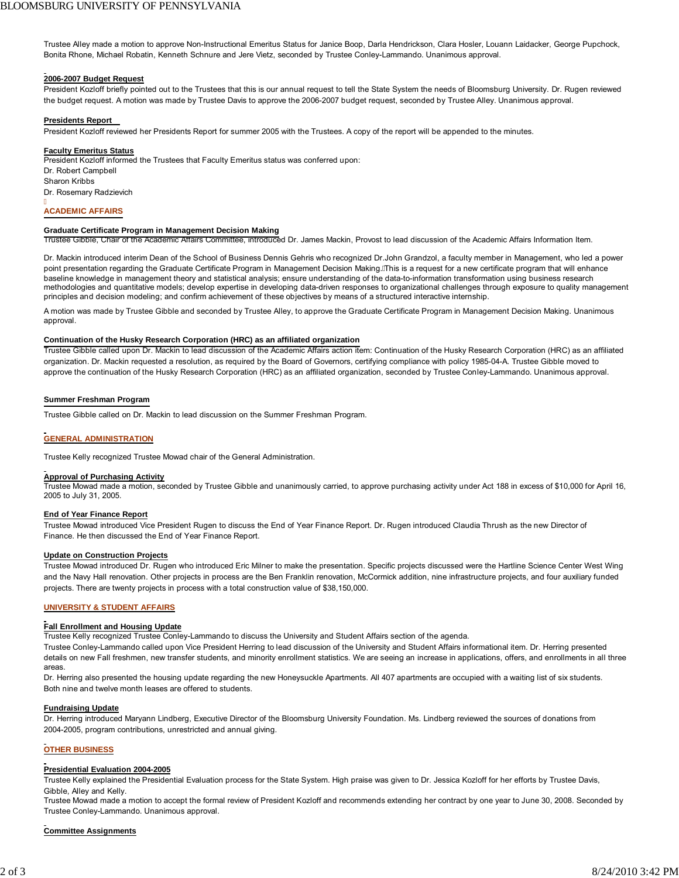Trustee Alley made a motion to approve Non-Instructional Emeritus Status for Janice Boop, Darla Hendrickson, Clara Hosler, Louann Laidacker, George Pupchock, Bonita Rhone, Michael Robatin, Kenneth Schnure and Jere Vietz, seconded by Trustee Conley-Lammando. Unanimous approval.

#### **2006-2007 Budget Request**

President Kozloff briefly pointed out to the Trustees that this is our annual request to tell the State System the needs of Bloomsburg University. Dr. Rugen reviewed the budget request. A motion was made by Trustee Davis to approve the 2006-2007 budget request, seconded by Trustee Alley. Unanimous approval.

#### **Presidents Report**

President Kozloff reviewed her Presidents Report for summer 2005 with the Trustees. A copy of the report will be appended to the minutes.

#### **Faculty Emeritus Status**

President Kozloff informed the Trustees that Faculty Emeritus status was conferred upon: Dr. Robert Campbell Sharon Kribbs Dr. Rosemary Radzievich

#### j **ACADEMIC AFFAIRS**

#### **Graduate Certificate Program in Management Decision Making**

Trustee Gibble, Chair of the Academic Affairs Committee, introduced Dr. James Mackin, Provost to lead discussion of the Academic Affairs Information Item.

Dr. Mackin introduced interim Dean of the School of Business Dennis Gehris who recognized Dr.John Grandzol, a faculty member in Management, who led a power point presentation regarding the Graduate Certificate Program in Management Decision Making. A his is a request for a new certificate program that will enhance baseline knowledge in management theory and statistical analysis; ensure understanding of the data-to-information transformation using business research methodologies and quantitative models; develop expertise in developing data-driven responses to organizational challenges through exposure to quality management principles and decision modeling; and confirm achievement of these objectives by means of a structured interactive internship.

A motion was made by Trustee Gibble and seconded by Trustee Alley, to approve the Graduate Certificate Program in Management Decision Making. Unanimous approval.

#### **Continuation of the Husky Research Corporation (HRC) as an affiliated organization**

Trustee Gibble called upon Dr. Mackin to lead discussion of the Academic Affairs action item: Continuation of the Husky Research Corporation (HRC) as an affiliated organization. Dr. Mackin requested a resolution, as required by the Board of Governors, certifying compliance with policy 1985-04-A. Trustee Gibble moved to approve the continuation of the Husky Research Corporation (HRC) as an affiliated organization, seconded by Trustee Conley-Lammando. Unanimous approval.

#### **Summer Freshman Program**

Trustee Gibble called on Dr. Mackin to lead discussion on the Summer Freshman Program.

#### **GENERAL ADMINISTRATION**

Trustee Kelly recognized Trustee Mowad chair of the General Administration.

#### **Approval of Purchasing Activity**

Trustee Mowad made a motion, seconded by Trustee Gibble and unanimously carried, to approve purchasing activity under Act 188 in excess of \$10,000 for April 16, 2005 to July 31, 2005.

#### **End of Year Finance Report**

Trustee Mowad introduced Vice President Rugen to discuss the End of Year Finance Report. Dr. Rugen introduced Claudia Thrush as the new Director of Finance. He then discussed the End of Year Finance Report.

#### **Update on Construction Projects**

Trustee Mowad introduced Dr. Rugen who introduced Eric Milner to make the presentation. Specific projects discussed were the Hartline Science Center West Wing and the Navy Hall renovation. Other projects in process are the Ben Franklin renovation, McCormick addition, nine infrastructure projects, and four auxiliary funded projects. There are twenty projects in process with a total construction value of \$38,150,000.

#### **UNIVERSITY & STUDENT AFFAIRS**

#### **Fall Enrollment and Housing Update**

Trustee Kelly recognized Trustee Conley-Lammando to discuss the University and Student Affairs section of the agenda.

Trustee Conley-Lammando called upon Vice President Herring to lead discussion of the University and Student Affairs informational item. Dr. Herring presented details on new Fall freshmen, new transfer students, and minority enrollment statistics. We are seeing an increase in applications, offers, and enrollments in all three areas.

Dr. Herring also presented the housing update regarding the new Honeysuckle Apartments. All 407 apartments are occupied with a waiting list of six students. Both nine and twelve month leases are offered to students.

#### **Fundraising Update**

Dr. Herring introduced Maryann Lindberg, Executive Director of the Bloomsburg University Foundation. Ms. Lindberg reviewed the sources of donations from 2004-2005, program contributions, unrestricted and annual giving.

#### **OTHER BUSINESS**

#### **Presidential Evaluation 2004-2005**

Trustee Kelly explained the Presidential Evaluation process for the State System. High praise was given to Dr. Jessica Kozloff for her efforts by Trustee Davis, Gibble, Alley and Kelly.

Trustee Mowad made a motion to accept the formal review of President Kozloff and recommends extending her contract by one year to June 30, 2008. Seconded by Trustee Conley-Lammando. Unanimous approval.

#### **Committee Assignments**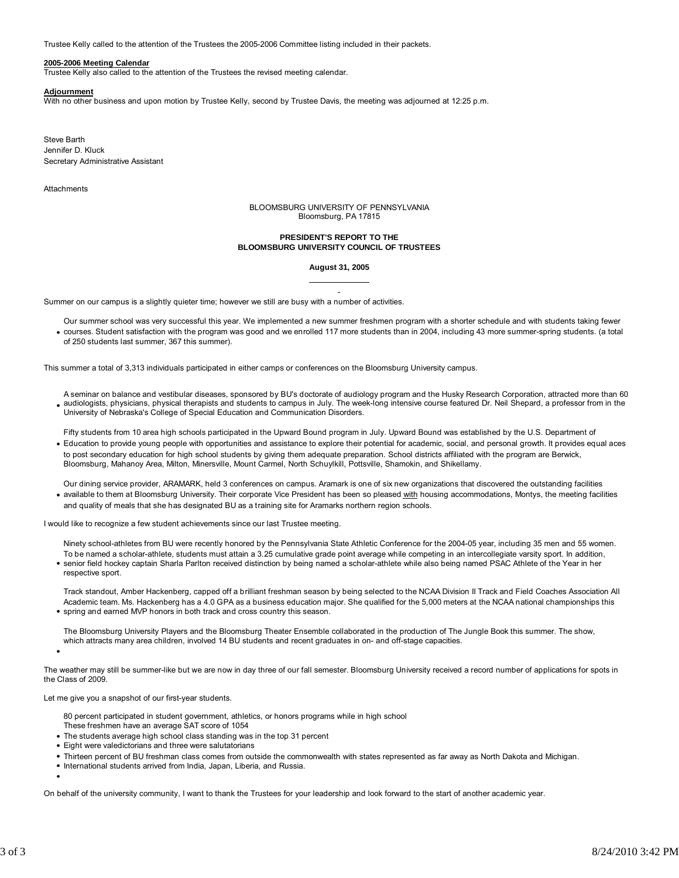Trustee Kelly called to the attention of the Trustees the 2005-2006 Committee listing included in their packets.

#### **2005-2006 Meeting Calendar**

Trustee Kelly also called to the attention of the Trustees the revised meeting calendar.

#### **Adjournment**

With no other business and upon motion by Trustee Kelly, second by Trustee Davis, the meeting was adjourned at 12:25 p.m.

Steve Barth Jennifer D. Kluck Secretary Administrative Assistant

**Attachments** 

BLOOMSBURG UNIVERSITY OF PENNSYLVANIA Bloomsburg, PA 17815

#### **PRESIDENT'S REPORT TO THE BLOOMSBURG UNIVERSITY COUNCIL OF TRUSTEES**

#### **August 31, 2005**

Summer on our campus is a slightly quieter time; however we still are busy with a number of activities.

Our summer school was very successful this year. We implemented a new summer freshmen program with a shorter schedule and with students taking fewer courses. Student satisfaction with the program was good and we enrolled 117 more students than in 2004, including 43 more summer-spring students. (a total of 250 students last summer, 367 this summer).

This summer a total of 3,313 individuals participated in either camps or conferences on the Bloomsburg University campus.

A seminar on balance and vestibular diseases, sponsored by BU's doctorate of audiology program and the Husky Research Corporation, attracted more than 60 audiologists, physicians, physical therapists and students to campus in July. The week-long intensive course featured Dr. Neil Shepard, a professor from in the University of Nebraska's College of Special Education and Communication Disorders.

Fifty students from 10 area high schools participated in the Upward Bound program in July. Upward Bound was established by the U.S. Department of

Education to provide young people with opportunities and assistance to explore their potential for academic, social, and personal growth. It provides equal aces to post secondary education for high school students by giving them adequate preparation. School districts affiliated with the program are Berwick, Bloomsburg, Mahanoy Area, Milton, Minersville, Mount Carmel, North Schuylkill, Pottsville, Shamokin, and Shikellamy.

Our dining service provider, ARAMARK, held 3 conferences on campus. Aramark is one of six new organizations that discovered the outstanding facilities • available to them at Bloomsburg University. Their corporate Vice President has been so pleased with housing accommodations, Montys, the meeting facilities and quality of meals that she has designated BU as a training site for Aramarks northern region schools.

I would like to recognize a few student achievements since our last Trustee meeting.

Ninety school-athletes from BU were recently honored by the Pennsylvania State Athletic Conference for the 2004-05 year, including 35 men and 55 women. To be named a scholar-athlete, students must attain a 3.25 cumulative grade point average while competing in an intercollegiate varsity sport. In addition, senior field hockey captain Sharla Parlton received distinction by being named a scholar-athlete while also being named PSAC Athlete of the Year in her respective sport.

Track standout, Amber Hackenberg, capped off a brilliant freshman season by being selected to the NCAA Division II Track and Field Coaches Association All Academic team. Ms. Hackenberg has a 4.0 GPA as a business education major. She qualified for the 5,000 meters at the NCAA national championships this spring and earned MVP honors in both track and cross country this season.

The Bloomsburg University Players and the Bloomsburg Theater Ensemble collaborated in the production of The Jungle Book this summer. The show, which attracts many area children, involved 14 BU students and recent graduates in on- and off-stage capacities.

The weather may still be summer-like but we are now in day three of our fall semester. Bloomsburg University received a record number of applications for spots in the Class of 2009.

Let me give you a snapshot of our first-year students.

80 percent participated in student government, athletics, or honors programs while in high school

These freshmen have an average SAT score of 1054

- The students average high school class standing was in the top 31 percent
- Eight were valedictorians and three were salutatorians
- Thirteen percent of BU freshman class comes from outside the commonwealth with states represented as far away as North Dakota and Michigan.
- International students arrived from India, Japan, Liberia, and Russia.

On behalf of the university community, I want to thank the Trustees for your leadership and look forward to the start of another academic year.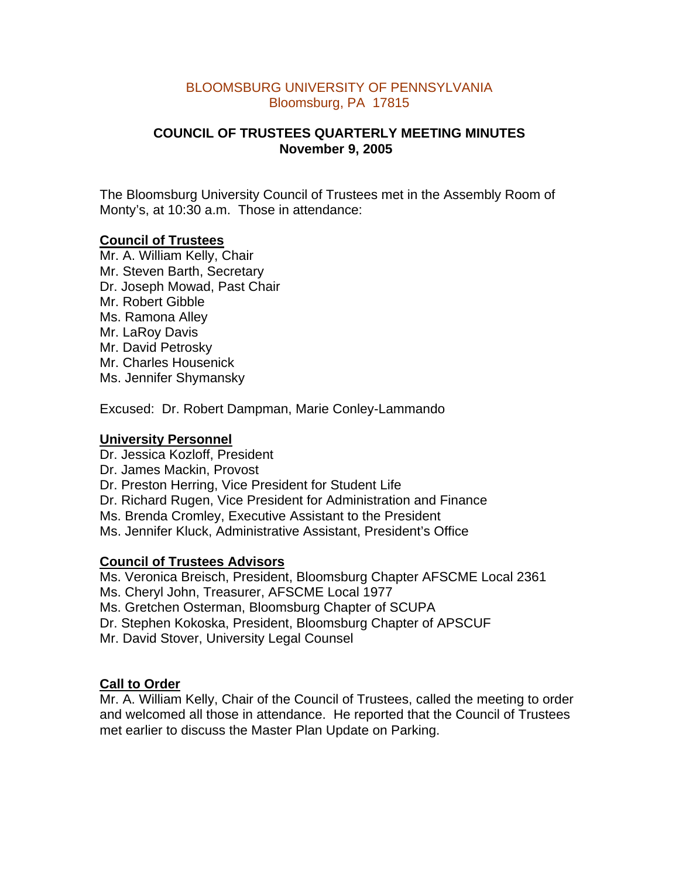# BLOOMSBURG UNIVERSITY OF PENNSYLVANIA Bloomsburg, PA 17815

# **COUNCIL OF TRUSTEES QUARTERLY MEETING MINUTES November 9, 2005**

The Bloomsburg University Council of Trustees met in the Assembly Room of Monty's, at 10:30 a.m. Those in attendance:

# **Council of Trustees**

Mr. A. William Kelly, Chair Mr. Steven Barth, Secretary Dr. Joseph Mowad, Past Chair Mr. Robert Gibble Ms. Ramona Alley Mr. LaRoy Davis Mr. David Petrosky Mr. Charles Housenick Ms. Jennifer Shymansky

Excused: Dr. Robert Dampman, Marie Conley-Lammando

# **University Personnel**

Dr. Jessica Kozloff, President Dr. James Mackin, Provost Dr. Preston Herring, Vice President for Student Life Dr. Richard Rugen, Vice President for Administration and Finance Ms. Brenda Cromley, Executive Assistant to the President Ms. Jennifer Kluck, Administrative Assistant, President's Office

# **Council of Trustees Advisors**

Ms. Veronica Breisch, President, Bloomsburg Chapter AFSCME Local 2361

- Ms. Cheryl John, Treasurer, AFSCME Local 1977
- Ms. Gretchen Osterman, Bloomsburg Chapter of SCUPA
- Dr. Stephen Kokoska, President, Bloomsburg Chapter of APSCUF

Mr. David Stover, University Legal Counsel

# **Call to Order**

Mr. A. William Kelly, Chair of the Council of Trustees, called the meeting to order and welcomed all those in attendance. He reported that the Council of Trustees met earlier to discuss the Master Plan Update on Parking.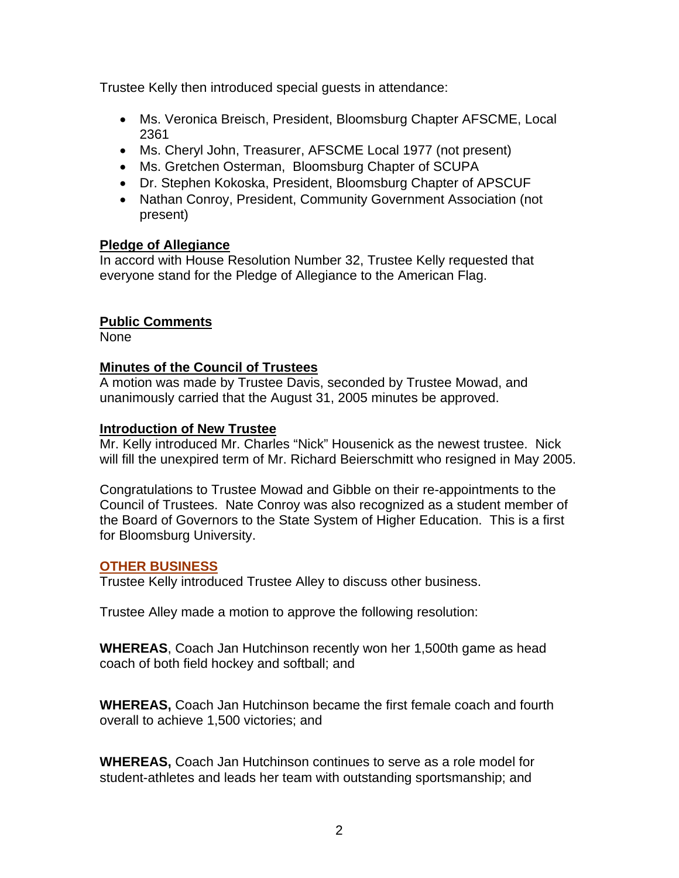Trustee Kelly then introduced special guests in attendance:

- Ms. Veronica Breisch, President, Bloomsburg Chapter AFSCME, Local 2361
- Ms. Cheryl John, Treasurer, AFSCME Local 1977 (not present)
- Ms. Gretchen Osterman, Bloomsburg Chapter of SCUPA
- Dr. Stephen Kokoska, President, Bloomsburg Chapter of APSCUF
- Nathan Conroy, President, Community Government Association (not present)

# **Pledge of Allegiance**

In accord with House Resolution Number 32, Trustee Kelly requested that everyone stand for the Pledge of Allegiance to the American Flag.

# **Public Comments**

None

# **Minutes of the Council of Trustees**

A motion was made by Trustee Davis, seconded by Trustee Mowad, and unanimously carried that the August 31, 2005 minutes be approved.

# **Introduction of New Trustee**

Mr. Kelly introduced Mr. Charles "Nick" Housenick as the newest trustee. Nick will fill the unexpired term of Mr. Richard Beierschmitt who resigned in May 2005.

Congratulations to Trustee Mowad and Gibble on their re-appointments to the Council of Trustees. Nate Conroy was also recognized as a student member of the Board of Governors to the State System of Higher Education. This is a first for Bloomsburg University.

# **OTHER BUSINESS**

Trustee Kelly introduced Trustee Alley to discuss other business.

Trustee Alley made a motion to approve the following resolution:

**WHEREAS**, Coach Jan Hutchinson recently won her 1,500th game as head coach of both field hockey and softball; and

**WHEREAS,** Coach Jan Hutchinson became the first female coach and fourth overall to achieve 1,500 victories; and

**WHEREAS,** Coach Jan Hutchinson continues to serve as a role model for student-athletes and leads her team with outstanding sportsmanship; and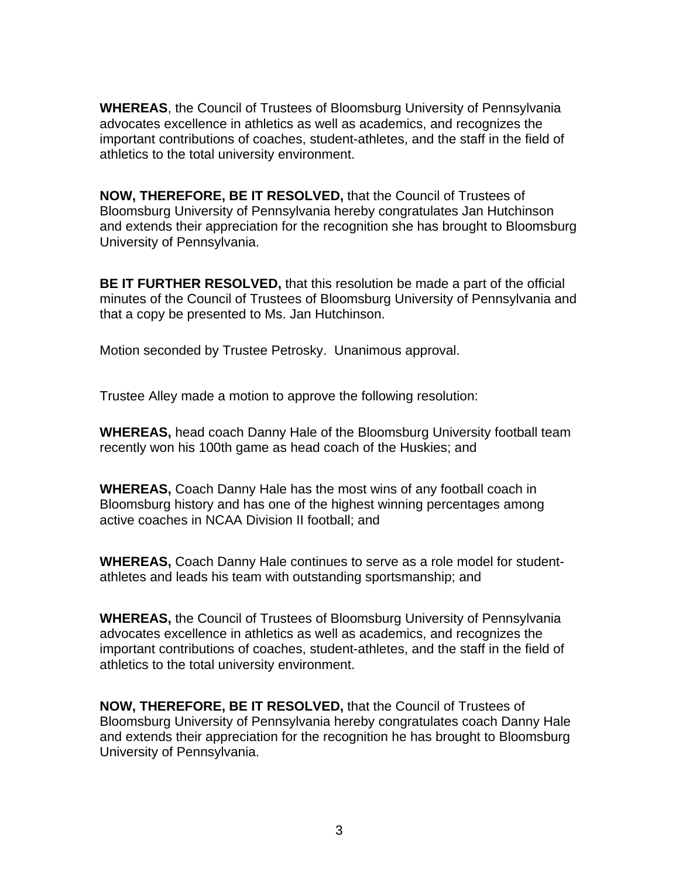**WHEREAS**, the Council of Trustees of Bloomsburg University of Pennsylvania advocates excellence in athletics as well as academics, and recognizes the important contributions of coaches, student-athletes, and the staff in the field of athletics to the total university environment.

**NOW, THEREFORE, BE IT RESOLVED,** that the Council of Trustees of Bloomsburg University of Pennsylvania hereby congratulates Jan Hutchinson and extends their appreciation for the recognition she has brought to Bloomsburg University of Pennsylvania.

**BE IT FURTHER RESOLVED,** that this resolution be made a part of the official minutes of the Council of Trustees of Bloomsburg University of Pennsylvania and that a copy be presented to Ms. Jan Hutchinson.

Motion seconded by Trustee Petrosky. Unanimous approval.

Trustee Alley made a motion to approve the following resolution:

**WHEREAS,** head coach Danny Hale of the Bloomsburg University football team recently won his 100th game as head coach of the Huskies; and

**WHEREAS,** Coach Danny Hale has the most wins of any football coach in Bloomsburg history and has one of the highest winning percentages among active coaches in NCAA Division II football; and

**WHEREAS,** Coach Danny Hale continues to serve as a role model for studentathletes and leads his team with outstanding sportsmanship; and

**WHEREAS,** the Council of Trustees of Bloomsburg University of Pennsylvania advocates excellence in athletics as well as academics, and recognizes the important contributions of coaches, student-athletes, and the staff in the field of athletics to the total university environment.

**NOW, THEREFORE, BE IT RESOLVED,** that the Council of Trustees of Bloomsburg University of Pennsylvania hereby congratulates coach Danny Hale and extends their appreciation for the recognition he has brought to Bloomsburg University of Pennsylvania.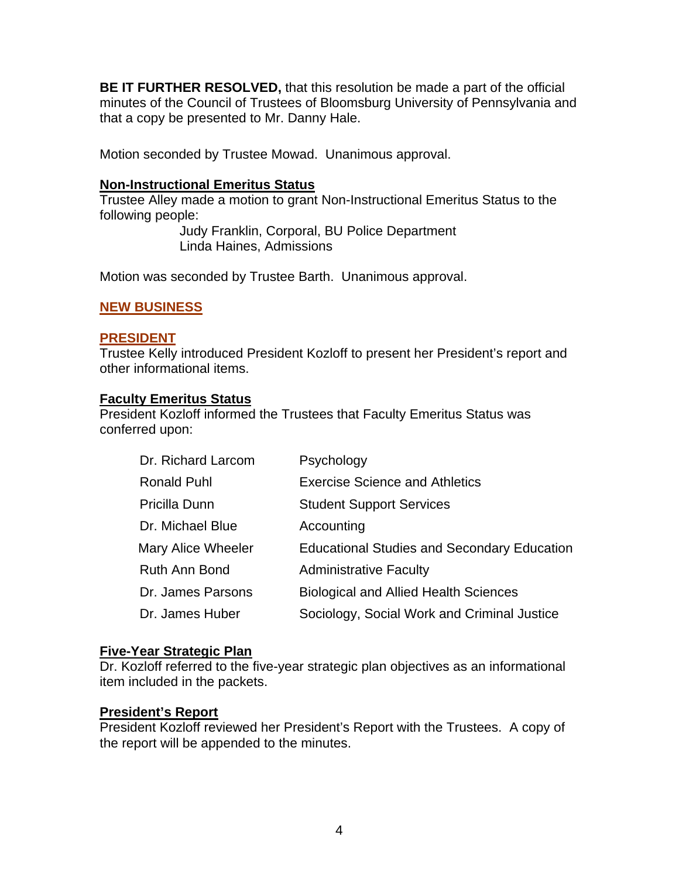**BE IT FURTHER RESOLVED,** that this resolution be made a part of the official minutes of the Council of Trustees of Bloomsburg University of Pennsylvania and that a copy be presented to Mr. Danny Hale.

Motion seconded by Trustee Mowad. Unanimous approval.

# **Non-Instructional Emeritus Status**

Trustee Alley made a motion to grant Non-Instructional Emeritus Status to the following people:

 Judy Franklin, Corporal, BU Police Department Linda Haines, Admissions

Motion was seconded by Trustee Barth. Unanimous approval.

# **NEW BUSINESS**

# **PRESIDENT**

Trustee Kelly introduced President Kozloff to present her President's report and other informational items.

# **Faculty Emeritus Status**

President Kozloff informed the Trustees that Faculty Emeritus Status was conferred upon:

| Dr. Richard Larcom   | Psychology                                         |
|----------------------|----------------------------------------------------|
| <b>Ronald Puhl</b>   | <b>Exercise Science and Athletics</b>              |
| Pricilla Dunn        | <b>Student Support Services</b>                    |
| Dr. Michael Blue     | Accounting                                         |
| Mary Alice Wheeler   | <b>Educational Studies and Secondary Education</b> |
| <b>Ruth Ann Bond</b> | <b>Administrative Faculty</b>                      |
| Dr. James Parsons    | <b>Biological and Allied Health Sciences</b>       |
| Dr. James Huber      | Sociology, Social Work and Criminal Justice        |
|                      |                                                    |

# **Five-Year Strategic Plan**

Dr. Kozloff referred to the five-year strategic plan objectives as an informational item included in the packets.

# **President's Report**

President Kozloff reviewed her President's Report with the Trustees. A copy of the report will be appended to the minutes.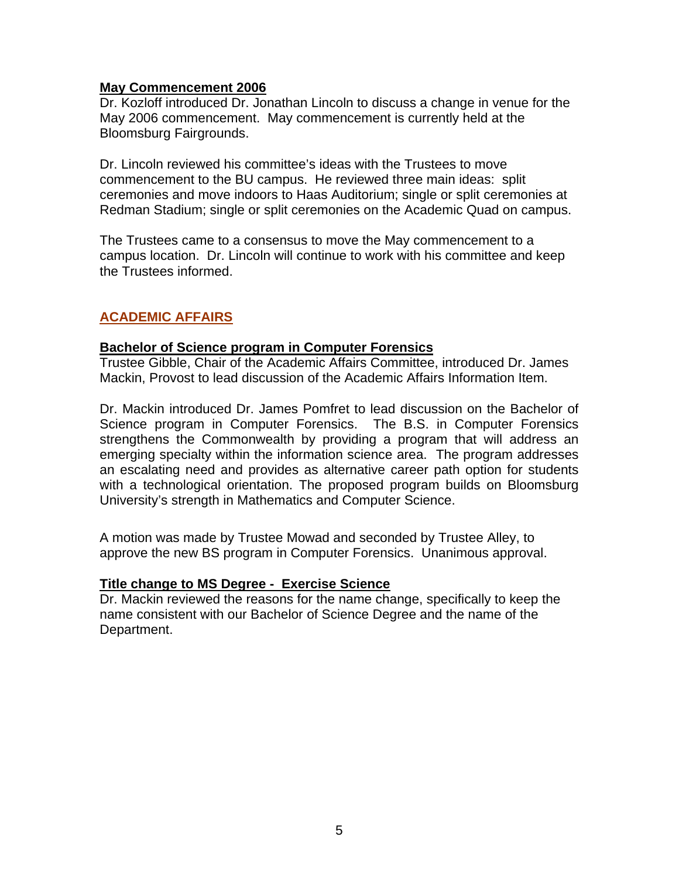# **May Commencement 2006**

Dr. Kozloff introduced Dr. Jonathan Lincoln to discuss a change in venue for the May 2006 commencement. May commencement is currently held at the Bloomsburg Fairgrounds.

Dr. Lincoln reviewed his committee's ideas with the Trustees to move commencement to the BU campus. He reviewed three main ideas: split ceremonies and move indoors to Haas Auditorium; single or split ceremonies at Redman Stadium; single or split ceremonies on the Academic Quad on campus.

The Trustees came to a consensus to move the May commencement to a campus location. Dr. Lincoln will continue to work with his committee and keep the Trustees informed.

# **ACADEMIC AFFAIRS**

# **Bachelor of Science program in Computer Forensics**

Trustee Gibble, Chair of the Academic Affairs Committee, introduced Dr. James Mackin, Provost to lead discussion of the Academic Affairs Information Item.

Dr. Mackin introduced Dr. James Pomfret to lead discussion on the Bachelor of Science program in Computer Forensics. The B.S. in Computer Forensics strengthens the Commonwealth by providing a program that will address an emerging specialty within the information science area. The program addresses an escalating need and provides as alternative career path option for students with a technological orientation. The proposed program builds on Bloomsburg University's strength in Mathematics and Computer Science.

A motion was made by Trustee Mowad and seconded by Trustee Alley, to approve the new BS program in Computer Forensics. Unanimous approval.

# **Title change to MS Degree - Exercise Science**

Dr. Mackin reviewed the reasons for the name change, specifically to keep the name consistent with our Bachelor of Science Degree and the name of the Department.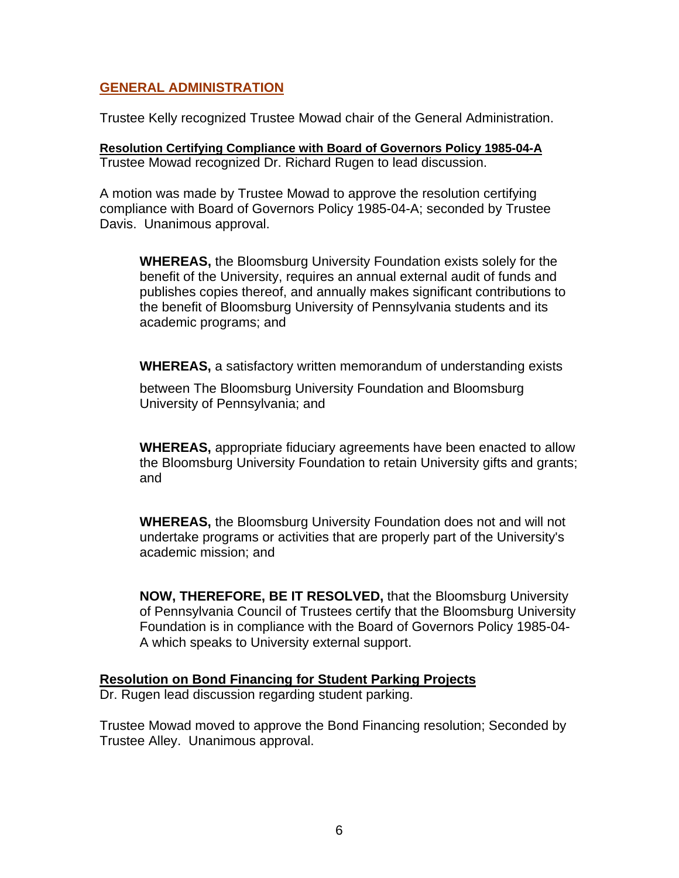# **GENERAL ADMINISTRATION**

Trustee Kelly recognized Trustee Mowad chair of the General Administration.

**Resolution Certifying Compliance with Board of Governors Policy 1985-04-A** Trustee Mowad recognized Dr. Richard Rugen to lead discussion.

A motion was made by Trustee Mowad to approve the resolution certifying compliance with Board of Governors Policy 1985-04-A; seconded by Trustee Davis. Unanimous approval.

**WHEREAS,** the Bloomsburg University Foundation exists solely for the benefit of the University, requires an annual external audit of funds and publishes copies thereof, and annually makes significant contributions to the benefit of Bloomsburg University of Pennsylvania students and its academic programs; and

**WHEREAS,** a satisfactory written memorandum of understanding exists

between The Bloomsburg University Foundation and Bloomsburg University of Pennsylvania; and

**WHEREAS,** appropriate fiduciary agreements have been enacted to allow the Bloomsburg University Foundation to retain University gifts and grants; and

**WHEREAS,** the Bloomsburg University Foundation does not and will not undertake programs or activities that are properly part of the University's academic mission; and

**NOW, THEREFORE, BE IT RESOLVED,** that the Bloomsburg University of Pennsylvania Council of Trustees certify that the Bloomsburg University Foundation is in compliance with the Board of Governors Policy 1985-04- A which speaks to University external support.

## **Resolution on Bond Financing for Student Parking Projects**

Dr. Rugen lead discussion regarding student parking.

Trustee Mowad moved to approve the Bond Financing resolution; Seconded by Trustee Alley. Unanimous approval.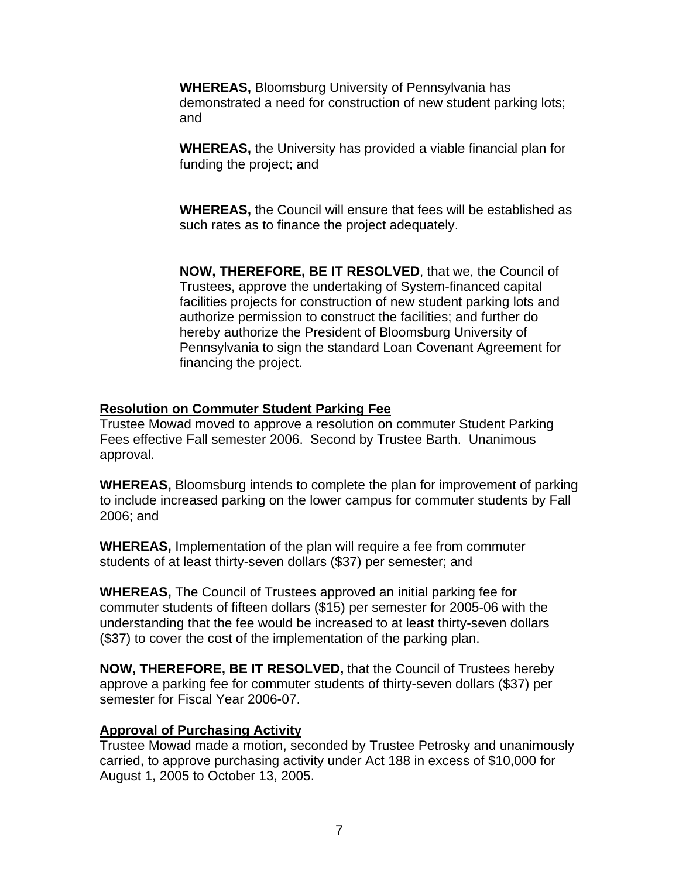**WHEREAS,** Bloomsburg University of Pennsylvania has demonstrated a need for construction of new student parking lots; and

**WHEREAS,** the University has provided a viable financial plan for funding the project; and

**WHEREAS,** the Council will ensure that fees will be established as such rates as to finance the project adequately.

**NOW, THEREFORE, BE IT RESOLVED**, that we, the Council of Trustees, approve the undertaking of System-financed capital facilities projects for construction of new student parking lots and authorize permission to construct the facilities; and further do hereby authorize the President of Bloomsburg University of Pennsylvania to sign the standard Loan Covenant Agreement for financing the project.

# **Resolution on Commuter Student Parking Fee**

Trustee Mowad moved to approve a resolution on commuter Student Parking Fees effective Fall semester 2006. Second by Trustee Barth. Unanimous approval.

**WHEREAS,** Bloomsburg intends to complete the plan for improvement of parking to include increased parking on the lower campus for commuter students by Fall 2006; and

**WHEREAS,** Implementation of the plan will require a fee from commuter students of at least thirty-seven dollars (\$37) per semester; and

**WHEREAS,** The Council of Trustees approved an initial parking fee for commuter students of fifteen dollars (\$15) per semester for 2005-06 with the understanding that the fee would be increased to at least thirty-seven dollars (\$37) to cover the cost of the implementation of the parking plan.

**NOW, THEREFORE, BE IT RESOLVED,** that the Council of Trustees hereby approve a parking fee for commuter students of thirty-seven dollars (\$37) per semester for Fiscal Year 2006-07.

# **Approval of Purchasing Activity**

Trustee Mowad made a motion, seconded by Trustee Petrosky and unanimously carried, to approve purchasing activity under Act 188 in excess of \$10,000 for August 1, 2005 to October 13, 2005.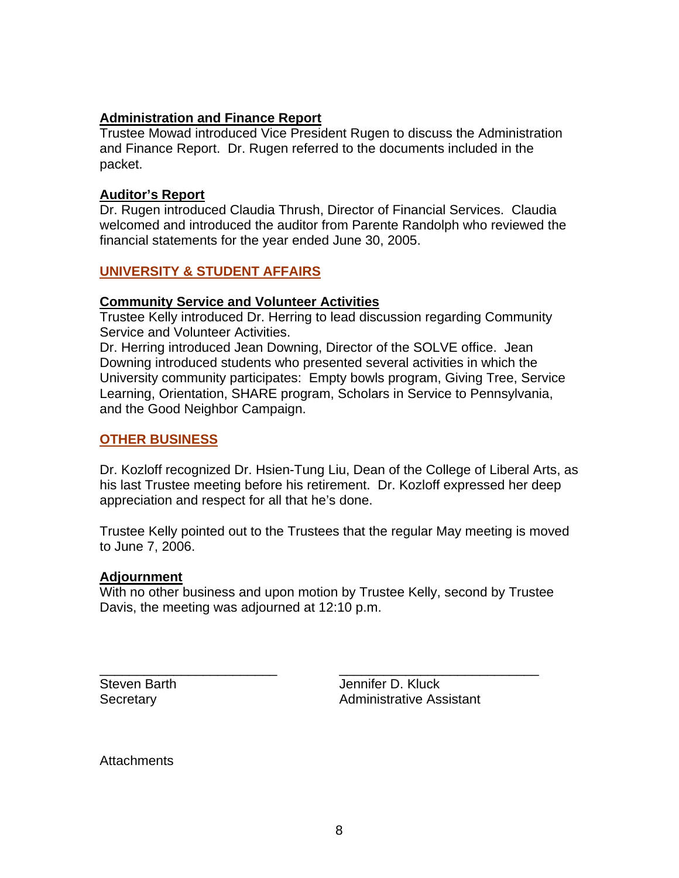# **Administration and Finance Report**

Trustee Mowad introduced Vice President Rugen to discuss the Administration and Finance Report. Dr. Rugen referred to the documents included in the packet.

# **Auditor's Report**

Dr. Rugen introduced Claudia Thrush, Director of Financial Services. Claudia welcomed and introduced the auditor from Parente Randolph who reviewed the financial statements for the year ended June 30, 2005.

# **UNIVERSITY & STUDENT AFFAIRS**

# **Community Service and Volunteer Activities**

Trustee Kelly introduced Dr. Herring to lead discussion regarding Community Service and Volunteer Activities.

Dr. Herring introduced Jean Downing, Director of the SOLVE office. Jean Downing introduced students who presented several activities in which the University community participates: Empty bowls program, Giving Tree, Service Learning, Orientation, SHARE program, Scholars in Service to Pennsylvania, and the Good Neighbor Campaign.

# **OTHER BUSINESS**

Dr. Kozloff recognized Dr. Hsien-Tung Liu, Dean of the College of Liberal Arts, as his last Trustee meeting before his retirement. Dr. Kozloff expressed her deep appreciation and respect for all that he's done.

Trustee Kelly pointed out to the Trustees that the regular May meeting is moved to June 7, 2006.

# **Adjournment**

With no other business and upon motion by Trustee Kelly, second by Trustee Davis, the meeting was adjourned at 12:10 p.m.

\_\_\_\_\_\_\_\_\_\_\_\_\_\_\_\_\_\_\_\_\_\_\_\_ \_\_\_\_\_\_\_\_\_\_\_\_\_\_\_\_\_\_\_\_\_\_\_\_\_\_\_ Steven Barth **Jennifer D. Kluck** Secretary **Administrative Assistant** 

**Attachments**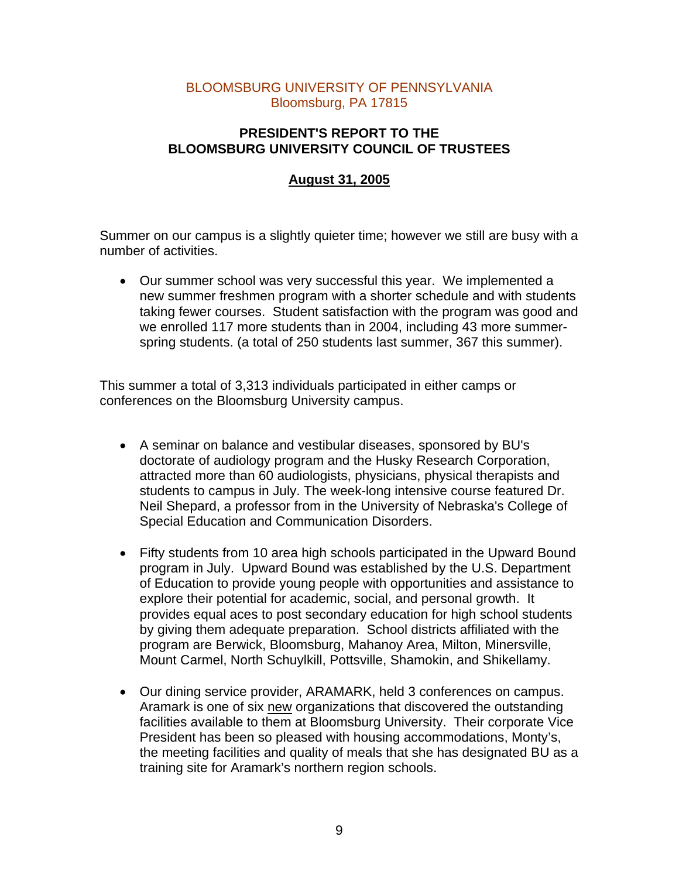# BLOOMSBURG UNIVERSITY OF PENNSYLVANIA Bloomsburg, PA 17815

# **PRESIDENT'S REPORT TO THE BLOOMSBURG UNIVERSITY COUNCIL OF TRUSTEES**

# **August 31, 2005**

Summer on our campus is a slightly quieter time; however we still are busy with a number of activities.

• Our summer school was very successful this year. We implemented a new summer freshmen program with a shorter schedule and with students taking fewer courses. Student satisfaction with the program was good and we enrolled 117 more students than in 2004, including 43 more summerspring students. (a total of 250 students last summer, 367 this summer).

This summer a total of 3,313 individuals participated in either camps or conferences on the Bloomsburg University campus.

- A seminar on balance and vestibular diseases, sponsored by BU's doctorate of audiology program and the Husky Research Corporation, attracted more than 60 audiologists, physicians, physical therapists and students to campus in July. The week-long intensive course featured Dr. Neil Shepard, a professor from in the University of Nebraska's College of Special Education and Communication Disorders.
- Fifty students from 10 area high schools participated in the Upward Bound program in July. Upward Bound was established by the U.S. Department of Education to provide young people with opportunities and assistance to explore their potential for academic, social, and personal growth. It provides equal aces to post secondary education for high school students by giving them adequate preparation. School districts affiliated with the program are Berwick, Bloomsburg, Mahanoy Area, Milton, Minersville, Mount Carmel, North Schuylkill, Pottsville, Shamokin, and Shikellamy.
- Our dining service provider, ARAMARK, held 3 conferences on campus. Aramark is one of six new organizations that discovered the outstanding facilities available to them at Bloomsburg University. Their corporate Vice President has been so pleased with housing accommodations, Monty's, the meeting facilities and quality of meals that she has designated BU as a training site for Aramark's northern region schools.